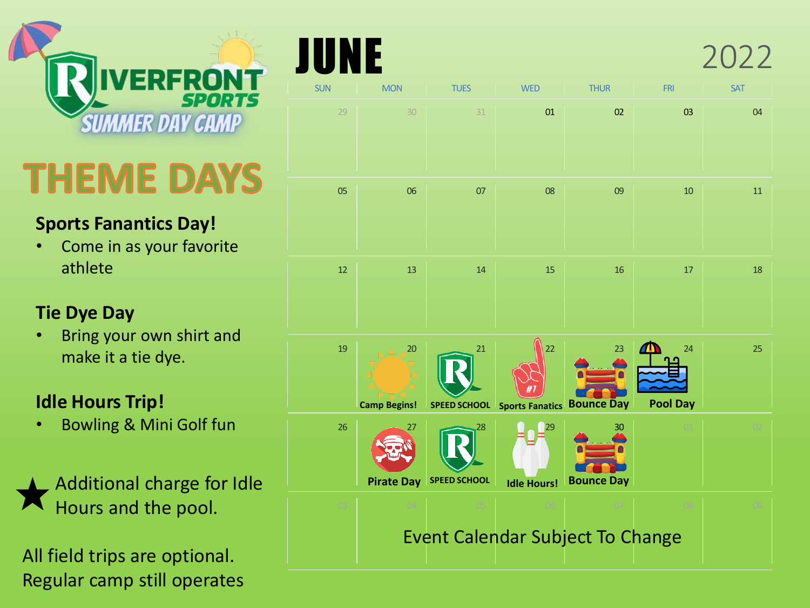

# THEME DAYS

#### **Sports Fanantics Day!**

• Come in as your favorite athlete

#### **Tie Dye Day**

• Bring your own shirt and make it a tie dye.

#### **Idle Hours Trip!**

• Bowling & Mini Golf fun

Additional charge for Idle Hours and the pool.

All field trips are optional. Regular camp still operates

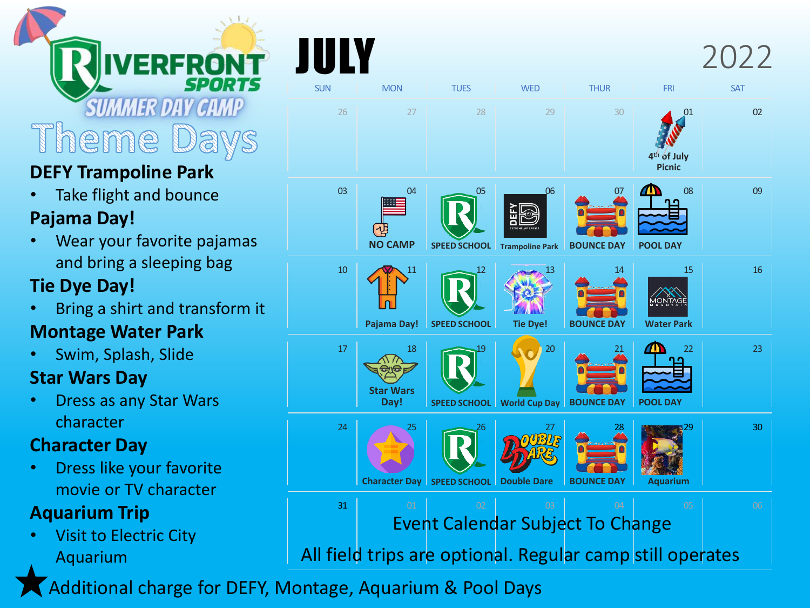#### **MMER DAY C** em e

# **DEFY Trampoline Park**

Take flight and bounce

## **Pajama Day!**

• Wear your favorite pajamas and bring a sleeping bag

# **Tie Dye Day!**

• Bring a shirt and transform it

## **Montage Water Park**

• Swim, Splash, Slide

## **Star Wars Day**

• Dress as any Star Wars character

## **Character Day**

• Dress like your favorite movie or TV character

# **Aquarium Trip**

• Visit to Electric City Aquarium



Additional charge for DEFY, Montage, Aquarium & Pool Days